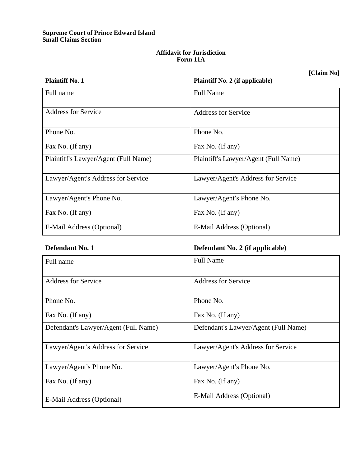### **Supreme Court of Prince Edward Island Small Claims Section**

## **Affidavit for Jurisdiction Form 11A**

**[Claim No]**

| <b>Plaintiff No. 1</b>               | <b>Plaintiff No. 2 (if applicable)</b> |
|--------------------------------------|----------------------------------------|
| Full name                            | <b>Full Name</b>                       |
|                                      |                                        |
| <b>Address for Service</b>           | <b>Address for Service</b>             |
|                                      |                                        |
| Phone No.                            | Phone No.                              |
| Fax No. (If any)                     | Fax No. (If any)                       |
| Plaintiff's Lawyer/Agent (Full Name) | Plaintiff's Lawyer/Agent (Full Name)   |
|                                      |                                        |
| Lawyer/Agent's Address for Service   | Lawyer/Agent's Address for Service     |
|                                      |                                        |
| Lawyer/Agent's Phone No.             | Lawyer/Agent's Phone No.               |
| Fax No. (If any)                     | Fax No. (If any)                       |
|                                      |                                        |
| E-Mail Address (Optional)            | E-Mail Address (Optional)              |

# **Defendant No. 1 Defendant No. 2 (if applicable)**

| Full name                            | <b>Full Name</b>                     |
|--------------------------------------|--------------------------------------|
| <b>Address for Service</b>           | <b>Address for Service</b>           |
| Phone No.                            | Phone No.                            |
| Fax No. (If any)                     | Fax No. (If any)                     |
| Defendant's Lawyer/Agent (Full Name) | Defendant's Lawyer/Agent (Full Name) |
| Lawyer/Agent's Address for Service   | Lawyer/Agent's Address for Service   |
| Lawyer/Agent's Phone No.             | Lawyer/Agent's Phone No.             |
| Fax No. (If any)                     | Fax No. (If any)                     |
| E-Mail Address (Optional)            | E-Mail Address (Optional)            |